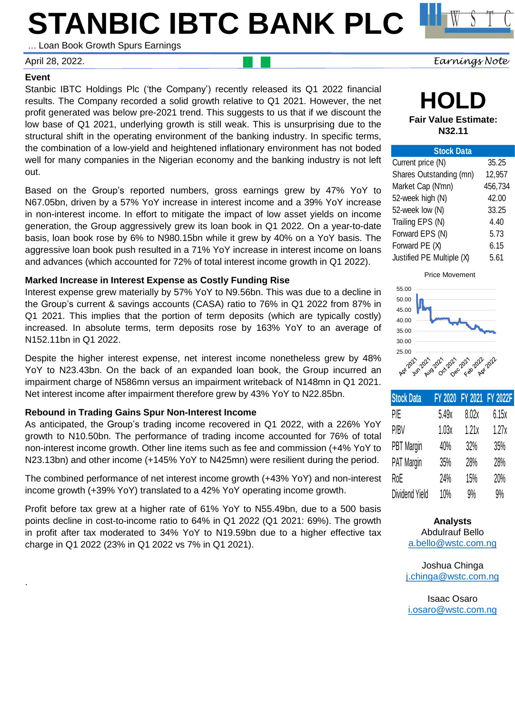# **STANBIC IBTC BANK PLC**

… Loan Book Growth Spurs Earnings

#### **Event**

.

Stanbic IBTC Holdings Plc ('the Company') recently released its Q1 2022 financial results. The Company recorded a solid growth relative to Q1 2021. However, the net profit generated was below pre-2021 trend. This suggests to us that if we discount the low base of Q1 2021, underlying growth is still weak. This is unsurprising due to the structural shift in the operating environment of the banking industry. In specific terms, the combination of a low-yield and heightened inflationary environment has not boded well for many companies in the Nigerian economy and the banking industry is not left out.

Based on the Group's reported numbers, gross earnings grew by 47% YoY to N67.05bn, driven by a 57% YoY increase in interest income and a 39% YoY increase in non-interest income. In effort to mitigate the impact of low asset yields on income generation, the Group aggressively grew its loan book in Q1 2022. On a year-to-date basis, loan book rose by 6% to N980.15bn while it grew by 40% on a YoY basis. The aggressive loan book push resulted in a 71% YoY increase in interest income on loans and advances (which accounted for 72% of total interest income growth in Q1 2022).

#### **Marked Increase in Interest Expense as Costly Funding Rise**

Interest expense grew materially by 57% YoY to N9.56bn. This was due to a decline in the Group's current & savings accounts (CASA) ratio to 76% in Q1 2022 from 87% in Q1 2021. This implies that the portion of term deposits (which are typically costly) increased. In absolute terms, term deposits rose by 163% YoY to an average of N152.11bn in Q1 2022.

Despite the higher interest expense, net interest income nonetheless grew by 48% YoY to N23.43bn. On the back of an expanded loan book, the Group incurred an impairment charge of N586mn versus an impairment writeback of N148mn in Q1 2021. Net interest income after impairment therefore grew by 43% YoY to N22.85bn.

#### **Rebound in Trading Gains Spur Non-Interest Income**

As anticipated, the Group's trading income recovered in Q1 2022, with a 226% YoY growth to N10.50bn. The performance of trading income accounted for 76% of total non-interest income growth. Other line items such as fee and commission (+4% YoY to N23.13bn) and other income (+145% YoY to N425mn) were resilient during the period.

The combined performance of net interest income growth (+43% YoY) and non-interest income growth (+39% YoY) translated to a 42% YoY operating income growth.

Profit before tax grew at a higher rate of 61% YoY to N55.49bn, due to a 500 basis points decline in cost-to-income ratio to 64% in Q1 2022 (Q1 2021: 69%). The growth in profit after tax moderated to 34% YoY to N19.59bn due to a higher effective tax charge in Q1 2022 (23% in Q1 2022 vs 7% in Q1 2021).

**HOLD Fair Value Estimate: N32.11**

| <b>Stock Data</b>         |         |
|---------------------------|---------|
| Current price (N)         | 35.25   |
| Shares Outstanding (mn)   | 12,957  |
| Market Cap (N'mn)         | 456,734 |
| 52-week high (N)          | 42.00   |
| 52-week low (N)           | 33.25   |
| Trailing EPS (N)          | 4.40    |
| Forward EPS (N)           | 5.73    |
| Forward PE (X)            | 6.15    |
| Justified PE Multiple (X) | 5.61    |
|                           |         |

Price Movement



| <b>Stock Data</b> |       |       | FY 2020 FY 2021 FY 2022F |
|-------------------|-------|-------|--------------------------|
| P/E               | 5.49x | 8.02x | 6.15x                    |
| P/BV              | 1.03x | 1.21x | 1.27x                    |
| <b>PBT</b> Margin | 40%   | 32%   | 35%                      |
| PAT Margin        | 35%   | 28%   | 28%                      |
| RoE               | 24%   | 15%   | 20%                      |
| Dividend Yield    | 10%   | 9%    | 9%                       |

**Analysts** Abdulrauf Bello [a.bello@wstc.com.ng](mailto:a.bello@wstc.com.ng)

Joshua Chinga [j.chinga@wstc.com.ng](mailto:j.chinga@wstc.com.ng)

Isaac Osaro [i.osaro@wstc.com.ng](mailto:i.osaro@wstc.com.ng)

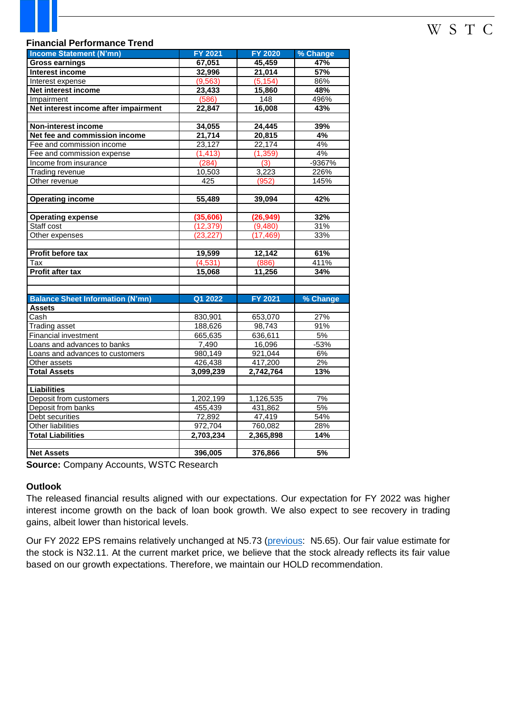## W S T C

#### **Financial Performance Trend**

| <b>Income Statement (N'mn)</b>          | <b>FY 2021</b> | <b>FY 2020</b> | % Change         |  |
|-----------------------------------------|----------------|----------------|------------------|--|
| <b>Gross earnings</b>                   | 67,051         | 45,459         | 47%              |  |
| <b>Interest income</b>                  | 32,996         | 21,014         | 57%              |  |
| Interest expense                        | (9, 563)       | (5, 154)       | 86%              |  |
| Net interest income                     | 23,433         | 15,860         | 48%              |  |
| Impairment                              | (586)          | 148            | 496%             |  |
| Net interest income after impairment    | 22,847         | 16,008         | 43%              |  |
|                                         |                |                |                  |  |
| Non-interest income                     | 34,055         | 24,445         | 39%              |  |
| Net fee and commission income           | 21,714         | 20,815         | 4%               |  |
| Fee and commission income               | 23,127         | 22,174         | 4%               |  |
| Fee and commission expense              | (1, 413)       | (1, 359)       | 4%               |  |
| Income from insurance                   | (284)          | (3)            | $-9367%$         |  |
| <b>Trading revenue</b>                  | 10,503         | 3,223          | 226%             |  |
| Other revenue                           | 425            | (952)          | 145%             |  |
|                                         |                |                |                  |  |
| <b>Operating income</b>                 | 55,489         | 39,094         | 42%              |  |
|                                         |                |                |                  |  |
| <b>Operating expense</b>                | (35, 606)      | (26, 949)      | 32%              |  |
| Staff cost                              | (12, 379)      | (9,480)        | 31%              |  |
| Other expenses                          | (23, 227)      | (17, 469)      | 33%              |  |
|                                         |                |                |                  |  |
| <b>Profit before tax</b>                | 19,599         | 12,142         | 61%              |  |
| Tax                                     | (4, 531)       | (886)          | 411%             |  |
| <b>Profit after tax</b>                 | 15,068         | 11,256         | 34%              |  |
|                                         |                |                |                  |  |
|                                         |                |                |                  |  |
| <b>Balance Sheet Information (N'mn)</b> | Q1 2022        | <b>FY 2021</b> | % Change         |  |
| <b>Assets</b>                           |                |                |                  |  |
| Cash                                    | 830,901        | 653,070        | 27%              |  |
| <b>Trading asset</b>                    | 188,626        | 98,743         | 91%              |  |
| Financial investment                    | 665,635        | 636,611        | 5%               |  |
| Loans and advances to banks             | 7,490          | 16,096         | $-53%$           |  |
| Loans and advances to customers         | 980,149        | 921,044        | 6%               |  |
| Other assets                            | 426,438        | 417,200        | $2\%$            |  |
| <b>Total Assets</b>                     | 3,099,239      | 2,742,764      | 13%              |  |
|                                         |                |                |                  |  |
| <b>Liabilities</b>                      |                |                |                  |  |
| Deposit from customers                  | 1,202,199      | 1,126,535      | 7%               |  |
| Deposit from banks                      | 455,439        | 431,862        | 5%               |  |
| Debt securities                         | 72,892         | 47,419         | 54%              |  |
| <b>Other liabilities</b>                | 972,704        | 760,082        | 28%              |  |
| <b>Total Liabilities</b>                | 2,703,234      | 2,365,898      | 14%              |  |
|                                         |                |                |                  |  |
| <b>Net Assets</b>                       | 396,005        | 376,866        | $\overline{5\%}$ |  |

**Source:** Company Accounts, WSTC Research

#### **Outlook**

The released financial results aligned with our expectations. Our expectation for FY 2022 was higher interest income growth on the back of loan book growth. We also expect to see recovery in trading gains, albeit lower than historical levels.

Our FY 2022 EPS remains relatively unchanged at N5.73 [\(previous:](https://wstcng.sharepoint.com/research/Shared Documents/Research Reports/Earnings Release/Banking Sector/Stanbic Reports/Stanbic IBTC Plc FY 2021 - Poor Earnings Performance Buoyed by Weak Earnings Quality.pdf?CT=1651149320013&OR=ItemsView) N5.65). Our fair value estimate for the stock is N32.11. At the current market price, we believe that the stock already reflects its fair value based on our growth expectations. Therefore, we maintain our HOLD recommendation.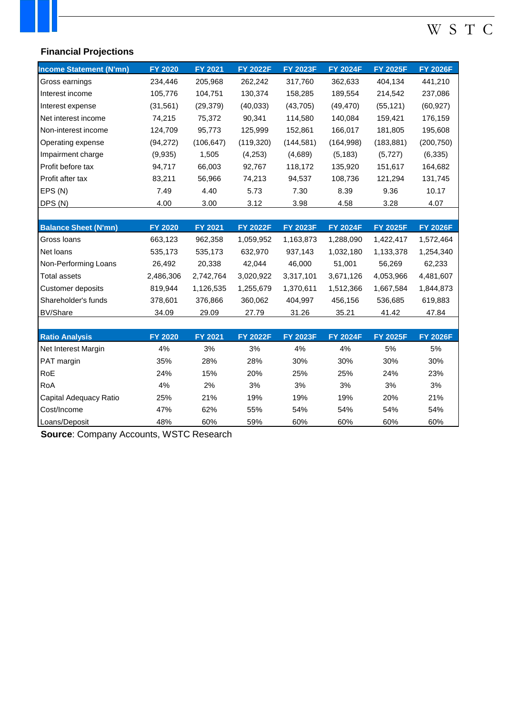## W S T C

### **Financial Projections**

| <b>Income Statement (N'mn)</b> | <b>FY 2020</b> | <b>FY 2021</b> | <b>FY 2022F</b> | <b>FY 2023F</b> | <b>FY 2024F</b> | <b>FY 2025F</b> | <b>FY 2026F</b> |
|--------------------------------|----------------|----------------|-----------------|-----------------|-----------------|-----------------|-----------------|
| Gross earnings                 | 234,446        | 205,968        | 262,242         | 317,760         | 362,633         | 404,134         | 441,210         |
| Interest income                | 105,776        | 104,751        | 130,374         | 158,285         | 189,554         | 214,542         | 237,086         |
| Interest expense               | (31, 561)      | (29, 379)      | (40, 033)       | (43, 705)       | (49, 470)       | (55, 121)       | (60, 927)       |
| Net interest income            | 74,215         | 75,372         | 90,341          | 114,580         | 140,084         | 159,421         | 176,159         |
| Non-interest income            | 124,709        | 95,773         | 125,999         | 152,861         | 166,017         | 181,805         | 195,608         |
| Operating expense              | (94, 272)      | (106, 647)     | (119, 320)      | (144, 581)      | (164, 998)      | (183, 881)      | (200, 750)      |
| Impairment charge              | (9,935)        | 1,505          | (4,253)         | (4,689)         | (5, 183)        | (5,727)         | (6, 335)        |
| Profit before tax              | 94,717         | 66,003         | 92,767          | 118,172         | 135,920         | 151,617         | 164,682         |
| Profit after tax               | 83,211         | 56,966         | 74,213          | 94,537          | 108,736         | 121,294         | 131,745         |
| EPS (N)                        | 7.49           | 4.40           | 5.73            | 7.30            | 8.39            | 9.36            | 10.17           |
| DPS (N)                        | 4.00           | 3.00           | 3.12            | 3.98            | 4.58            | 3.28            | 4.07            |
|                                |                |                |                 |                 |                 |                 |                 |
| <b>Balance Sheet (N'mn)</b>    | <b>FY 2020</b> | <b>FY 2021</b> | <b>FY 2022F</b> | <b>FY 2023F</b> | <b>FY 2024F</b> | <b>FY 2025F</b> | <b>FY 2026F</b> |
| Gross Ioans                    | 663,123        | 962,358        | 1,059,952       | 1,163,873       | 1,288,090       | 1,422,417       | 1,572,464       |
| Net loans                      | 535,173        | 535,173        | 632,970         | 937,143         | 1,032,180       | 1,133,378       | 1,254,340       |
| Non-Performing Loans           | 26,492         | 20,338         | 42,044          | 46,000          | 51,001          | 56,269          | 62,233          |
| <b>Total assets</b>            | 2,486,306      | 2,742,764      | 3,020,922       | 3,317,101       | 3,671,126       | 4,053,966       | 4,481,607       |
| Customer deposits              | 819,944        | 1,126,535      | 1,255,679       | 1,370,611       | 1,512,366       | 1,667,584       | 1,844,873       |
| Shareholder's funds            | 378,601        | 376,866        | 360,062         | 404,997         | 456,156         | 536,685         | 619,883         |
| <b>BV/Share</b>                | 34.09          | 29.09          | 27.79           | 31.26           | 35.21           | 41.42           | 47.84           |
|                                |                |                |                 |                 |                 |                 |                 |
| <b>Ratio Analysis</b>          | <b>FY 2020</b> | FY 2021        | <b>FY 2022F</b> | <b>FY 2023F</b> | <b>FY 2024F</b> | <b>FY 2025F</b> | <b>FY 2026F</b> |
| Net Interest Margin            | 4%             | $3%$           | 3%              | 4%              | 4%              | 5%              | $5\%$           |
| PAT margin                     | 35%            | 28%            | 28%             | 30%             | 30%             | 30%             | 30%             |
| RoE                            | 24%            | 15%            | 20%             | 25%             | 25%             | 24%             | 23%             |
| RoA                            | 4%             | 2%             | 3%              | 3%              | 3%              | 3%              | 3%              |
| Capital Adequacy Ratio         | 25%            | 21%            | 19%             | 19%             | 19%             | 20%             | 21%             |
| Cost/Income                    | 47%            | 62%            | 55%             | 54%             | 54%             | 54%             | 54%             |
| Loans/Deposit                  | 48%            | 60%            | 59%             | 60%             | 60%             | 60%             | 60%             |

**Source**: Company Accounts, WSTC Research